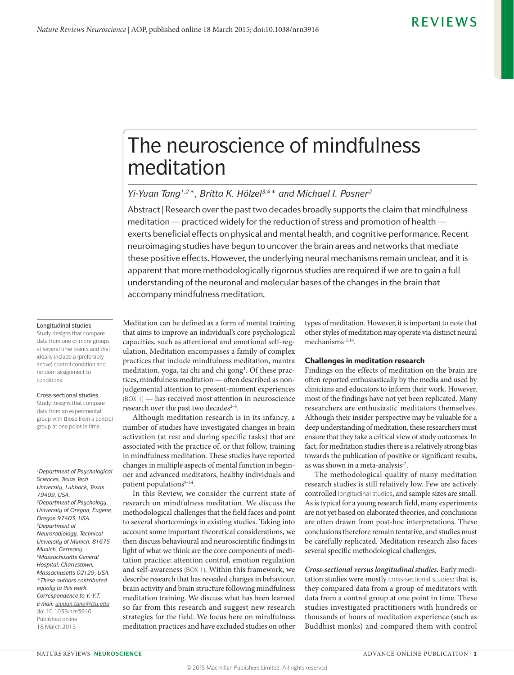# The neuroscience of mindfulness meditation

### *Yi-Yuan Tang1,2\*, Britta K. Hölzel3,4\* and Michael I. Posner2*

Abstract | Research over the past two decades broadly supports the claim that mindfulness meditation — practiced widely for the reduction of stress and promotion of health exerts beneficial effects on physical and mental health, and cognitive performance. Recent neuroimaging studies have begun to uncover the brain areas and networks that mediate these positive effects. However, the underlying neural mechanisms remain unclear, and it is apparent that more methodologically rigorous studies are required if we are to gain a full understanding of the neuronal and molecular bases of the changes in the brain that accompany mindfulness meditation.

#### Longitudinal studies

Study designs that compare data from one or more groups at several time points and that ideally include a (preferably active) control condition and random assignment to conditions.

#### Cross-sectional studies

Study designs that compare data from an experimental group with those from a control group at one point in time.

*1Department of Psychological Sciences, Texas Tech University, Lubbock, Texas 79409, USA. 2Department of Psychology, University of Oregon, Eugene, Oregon 97403, USA. 3Department of Neuroradiology, Technical University of Munich, 81675 Munich, Germany. 4Massachusetts General Hospital, Charlestown, Massachusetts 02129, USA. \*These authors contributed equally to this work. Correspondence to Y.-Y.T. e-mail: [yiyuan.tang@ttu.edu](mailto:yiyuan.tang%40ttu.edu%20?subject=Nature%20Reviews)* doi:10.1038/nrn3916 Published online 18 March 2015

Meditation can be defined as a form of mental training that aims to improve an individual's core psychological capacities, such as attentional and emotional self-regulation. Meditation encompasses a family of complex practices that include mindfulness meditation, mantra meditation, yoga, tai chi and chi gong<sup>1</sup>. Of these practices, mindfulness meditation — often described as nonjudgemental attention to present-moment experiences (BOX 1) — has received most attention in neuroscience research over the past two decades<sup>2-8</sup>.

Although meditation research is in its infancy, a number of studies have investigated changes in brain activation (at rest and during specific tasks) that are associated with the practice of, or that follow, training in mindfulness meditation. These studies have reported changes in multiple aspects of mental function in beginner and advanced meditators, healthy individuals and patient populations<sup>9-14</sup>.

In this Review, we consider the current state of research on mindfulness meditation. We discuss the methodological challenges that the field faces and point to several shortcomings in existing studies. Taking into account some important theoretical considerations, we then discuss behavioural and neuroscientific findings in light of what we think are the core components of meditation practice: attention control, emotion regulation and self-awareness (BOX 1). Within this framework, we describe research that has revealed changes in behaviour, brain activity and brain structure following mindfulness meditation training. We discuss what has been learned so far from this research and suggest new research strategies for the field. We focus here on mindfulness meditation practices and have excluded studies on other types of meditation. However, it is important to note that other styles of meditation may operate via distinct neural  $mechanisms<sup>15,16</sup>$ .

### Challenges in meditation research

Findings on the effects of meditation on the brain are often reported enthusiastically by the media and used by clinicians and educators to inform their work. However, most of the findings have not yet been replicated. Many researchers are enthusiastic meditators themselves. Although their insider perspective may be valuable for a deep understanding of meditation, these researchers must ensure that they take a critical view of study outcomes. In fact, for meditation studies there is a relatively strong bias towards the publication of positive or significant results, as was shown in a meta-analysis<sup>17</sup>.

The methodological quality of many meditation research studies is still relatively low. Few are actively controlled longitudinal studies, and sample sizes are small. As is typical for a young research field, many experiments are not yet based on elaborated theories, and conclusions are often drawn from post-hoc interpretations. These conclusions therefore remain tentative, and studies must be carefully replicated. Meditation research also faces several specific methodological challenges.

**Cross-sectional versus longitudinal studies.** Early meditation studies were mostly cross-sectional studies: that is, they compared data from a group of meditators with data from a control group at one point in time. These studies investigated practitioners with hundreds or thousands of hours of meditation experience (such as Buddhist monks) and compared them with control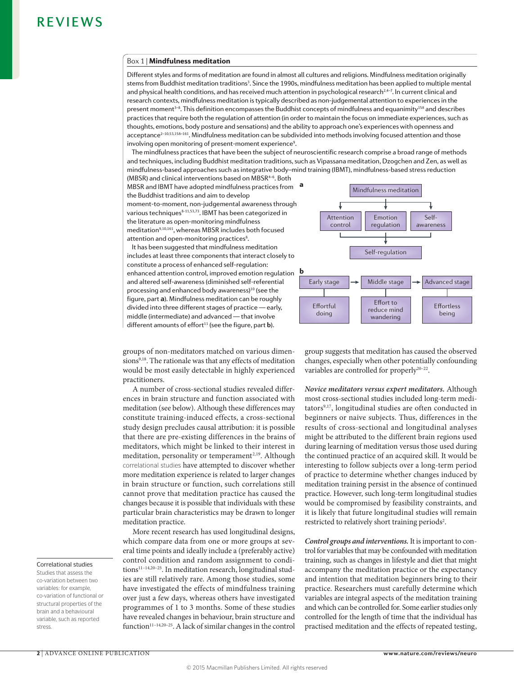### Box 1 | Mindfulness meditation

Different styles and forms of meditation are found in almost all cultures and religions. Mindfulness meditation originally stems from Buddhist meditation traditions<sup>3</sup>. Since the 1990s, mindfulness meditation has been applied to multiple mental and physical health conditions, and has received much attention in psychological research<sup>2,4-7</sup>. In current clinical and research contexts, mindfulness meditation is typically described as non-judgemental attention to experiences in the present moment<sup>3-8</sup>. This definition encompasses the Buddhist concepts of mindfulness and equanimity<sup>158</sup> and describes  $p$ ractices that require both the regulation of attention (in order to maintain the focus on immediate experiences, such as thoughts, emotions, body posture and sensations) and the ability to approach one's experiences with openness and acceptance<sup>2-10,53,158-161</sup>. Mindfulness meditation can be subdivided into methods involving focused attention and those involving open monitoring of present-moment experience<sup>9</sup>.

The mindfulness practices that have been the subject of neuroscientific research comprise a broad range of methods and techniques, including Buddhist meditation traditions, such as Vipassana meditation, Dzogchen and Zen, as well as mindfulness-based approaches such as integrative body-mind training (IBMT), mindfulness-based stress reduction  $(MBSR)$  and clinical interventions based on  $MBSR^{4-6}$ . Both

MBSR and IBMT have adopted mindfulness practices from the Buddhist traditions and aim to develop moment-to-moment, non-judgemental awareness through various techniques<sup>8-11,53,73</sup>. IBMT has been categorized in the literature as open-monitoring mindfulness meditation<sup>9,10,161</sup>, whereas MBSR includes both focused attention and open-monitoring practices<sup>8</sup>.

It has been suggested that mindfulness meditation includes at least three components that interact closely to constitute a process of enhanced self-requlation: enhanced attention control, improved emotion regulation  $\mathbf{b}$ and altered self-awareness (diminished self-referential processing and enhanced body awareness)<sup>10</sup> (see the figure, part a). Mindfulness meditation can be roughly divided into three different stages of practice - early, middle (intermediate) and advanced - that involve  $d$  ifferent amounts of effort<sup>11</sup> (see the figure, part **b**).



groups of non-meditators matched on various dimensions<sup>9,18</sup>. The rationale was that any effects of meditation would be most easily detectable in highly experienced practitioners.

A number of cross-sectional studies revealed differences in brain structure and function associated with meditation (see below). Although these differences may constitute training-induced effects, a cross-sectional study design precludes causal attribution: it is possible that there are pre-existing differences in the brains of meditators, which might be linked to their interest in meditation, personality or temperament<sup>2,19</sup>. Although correlational studies have attempted to discover whether more meditation experience is related to larger changes in brain structure or function, such correlations still cannot prove that meditation practice has caused the changes because it is possible that individuals with these particular brain characteristics may be drawn to longer meditation practice.

More recent research has used longitudinal designs, which compare data from one or more groups at several time points and ideally include a (preferably active) control condition and random assignment to conditions<sup>11-14,20-25</sup>. In meditation research, longitudinal studies are still relatively rare. Among those studies, some have investigated the effects of mindfulness training over just a few days, whereas others have investigated programmes of 1 to 3 months. Some of these studies have revealed changes in behaviour, brain structure and function<sup>11-14,20-25</sup>. A lack of similar changes in the control

group suggests that meditation has caused the observed changes, especially when other potentially confounding variables are controlled for properly<sup>20-22</sup>.

**Novice meditators versus expert meditators.** Although most cross-sectional studies included long-term meditators9,17, longitudinal studies are often conducted in beginners or naive subjects. Thus, differences in the results of cross-sectional and longitudinal analyses might be attributed to the different brain regions used during learning of meditation versus those used during the continued practice of an acquired skill. It would be interesting to follow subjects over a long-term period of practice to determine whether changes induced by meditation training persist in the absence of continued practice. However, such long-term longitudinal studies would be compromised by feasibility constraints, and it is likely that future longitudinal studies will remain restricted to relatively short training periods<sup>2</sup>.

**Control groups and interventions.** It is important to control for variables that may be confounded with meditation training, such as changes in lifestyle and diet that might accompany the meditation practice or the expectancy and intention that meditation beginners bring to their practice. Researchers must carefully determine which variables are integral aspects of the meditation training and which can be controlled for. Some earlier studies only controlled for the length of time that the individual has practised meditation and the effects of repeated testing,

### Correlational studies

Studies that assess the co-variation between two variables: for example, co-variation of functional or structural properties of the brain and a behavioural variable, such as reported stress.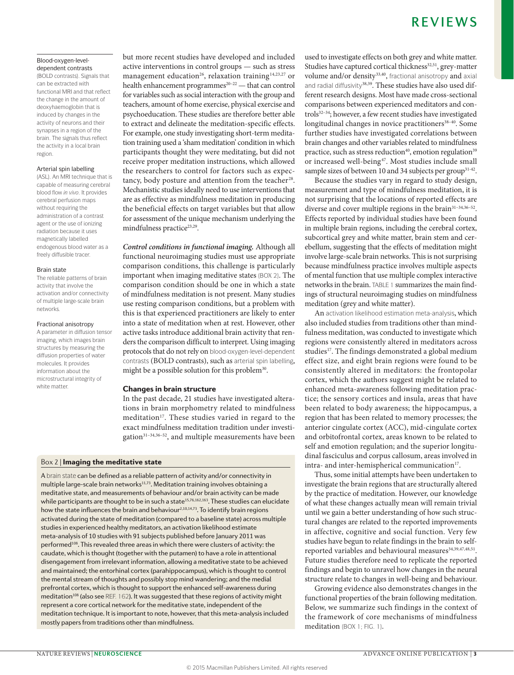# R F V I F W S

### Blood-oxygen-leveldependent contrasts

(BOLD contrasts). Signals that can be extracted with functional MRI and that reflect the change in the amount of deoxyhaemoglobin that is induced by changes in the activity of neurons and their synapses in a region of the brain. The signals thus reflect the activity in a local brain region.

### Arterial spin labelling

(ASL). An MRI technique that is capable of measuring cerebral blood flow *in vivo*. It provides cerebral perfusion maps without requiring the administration of a contrast agent or the use of ionizing radiation because it uses magnetically labelled endogenous blood water as a freely diffusible tracer.

#### Brain state

The reliable patterns of brain activity that involve the activation and/or connectivity of multiple large-scale brain networks.

### Fractional anisotropy

A parameter in diffusion tensor imaging, which images brain structures by measuring the diffusion properties of water molecules. It provides information about the microstructural integrity of white matter.

but more recent studies have developed and included active interventions in control groups — such as stress management education<sup>26</sup>, relaxation training<sup>14,23,27</sup> or health enhancement programmes<sup>20-22</sup> — that can control for variables such as social interaction with the group and teachers, amount of home exercise, physical exercise and psychoeducation. These studies are therefore better able to extract and delineate the meditation-specific effects. For example, one study investigating short-term meditation training used a 'sham meditation' condition in which participants thought they were meditating, but did not receive proper meditation instructions, which allowed the researchers to control for factors such as expectancy, body posture and attention from the teacher<sup>28</sup>. Mechanistic studies ideally need to use interventions that are as effective as mindfulness meditation in producing the beneficial effects on target variables but that allow for assessment of the unique mechanism underlying the mindfulness practice<sup>23,29</sup>.

**Control conditions in functional imaging.** Although all functional neuroimaging studies must use appropriate comparison conditions, this challenge is particularly important when imaging meditative states (BOX 2). The comparison condition should be one in which a state of mindfulness meditation is not present. Many studies use resting comparison conditions, but a problem with this is that experienced practitioners are likely to enter into a state of meditation when at rest. However, other active tasks introduce additional brain activity that renders the comparison difficult to interpret. Using imaging protocols that do not rely on blood-oxygen-level-dependent contrasts (BOLD contrasts), such as arterial spin labelling, might be a possible solution for this problem<sup>30</sup>.

### Changes in brain structure

In the past decade, 21 studies have investigated alterations in brain morphometry related to mindfulness meditation<sup>17</sup>. These studies varied in regard to the exact mindfulness meditation tradition under investigation<sup>31-34,36-52</sup>, and multiple measurements have been

### Box 2 | Imaging the meditative state

A brain state can be defined as a reliable pattern of activity and/or connectivity in multiple large-scale brain networks<sup>11,73</sup>. Meditation training involves obtaining a meditative state, and measurements of behaviour and/or brain activity can be made while participants are thought to be in such a state<sup>15,76,162,163</sup>. These studies can elucidate how the state influences the brain and behaviour<sup>2,10,14,73</sup>. To identify brain regions activated during the state of meditation (compared to a baseline state) across multiple studies in experienced healthy meditators, an activation likelihood estimate meta-analysis of 10 studies with 91 subjects published before January 2011 was performed<sup>108</sup>. This revealed three areas in which there were clusters of activity: the caudate, which is thought (together with the putamen) to have a role in attentional disengagement from irrelevant information, allowing a meditative state to be achieved and maintained; the entorhinal cortex (parahippocampus), which is thought to control the mental stream of thoughts and possibly stop mind wandering; and the medial prefrontal cortex, which is thought to support the enhanced self-awareness during meditation<sup>108</sup> (also see REF. 162). It was suggested that these regions of activity might represent a core cortical network for the meditative state, independent of the meditation technique. It is important to note, however, that this meta-analysis included mostly papers from traditions other than mindfulness.

used to investigate effects on both grey and white matter. Studies have captured cortical thickness<sup>32,51</sup>, grey-matter volume and/or density<sup>33,40</sup>, fractional anisotropy and axial and radial diffusivity<sup>38,39</sup>. These studies have also used different research designs. Most have made cross-sectional comparisons between experienced meditators and controls32–34; however, a few recent studies have investigated longitudinal changes in novice practitioners<sup>38-40</sup>. Some further studies have investigated correlations between brain changes and other variables related to mindfulness practice, such as stress reduction<sup>40</sup>, emotion regulation<sup>39</sup> or increased well-being<sup>47</sup>. Most studies include small sample sizes of between 10 and 34 subjects per group<sup>31-42</sup>.

Because the studies vary in regard to study design, measurement and type of mindfulness meditation, it is not surprising that the locations of reported effects are diverse and cover multiple regions in the brain<sup>31-34,36-52</sup>. Effects reported by individual studies have been found in multiple brain regions, including the cerebral cortex, subcortical grey and white matter, brain stem and cerebellum, suggesting that the effects of meditation might involve large-scale brain networks. This is not surprising because mindfulness practice involves multiple aspects of mental function that use multiple complex interactive networks in the brain. TABLE 1 summarizes the main findings of structural neuroimaging studies on mindfulness meditation (grey and white matter).

An activation likelihood estimation meta-analysis, which also included studies from traditions other than mindfulness meditation, was conducted to investigate which regions were consistently altered in meditators across studies<sup>17</sup>. The findings demonstrated a global medium effect size, and eight brain regions were found to be consistently altered in meditators: the frontopolar cortex, which the authors suggest might be related to enhanced meta-awareness following meditation practice; the sensory cortices and insula, areas that have been related to body awareness; the hippocampus, a region that has been related to memory processes; the anterior cingulate cortex (ACC), mid-cingulate cortex and orbitofrontal cortex, areas known to be related to self and emotion regulation; and the superior longitudinal fasciculus and corpus callosum, areas involved in intra- and inter-hemispherical communication<sup>17</sup>.

Thus, some initial attempts have been undertaken to investigate the brain regions that are structurally altered by the practice of meditation. However, our knowledge of what these changes actually mean will remain trivial until we gain a better understanding of how such structural changes are related to the reported improvements in affective, cognitive and social function. Very few studies have begun to relate findings in the brain to selfreported variables and behavioural measures<sup>34,39,47,48,51</sup>. Future studies therefore need to replicate the reported findings and begin to unravel how changes in the neural structure relate to changes in well-being and behaviour.

Growing evidence also demonstrates changes in the functional properties of the brain following meditation. Below, we summarize such findings in the context of the framework of core mechanisms of mindfulness meditation (BOX 1; FIG. 1).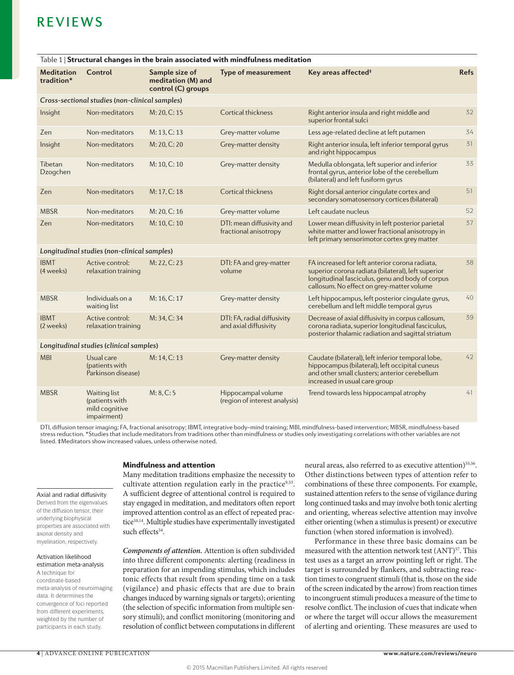| Table 1   Structural changes in the brain associated with mindfulness meditation |                                                                 |                                                            |                                                      |                                                                                                                                                                                                       |             |  |  |  |
|----------------------------------------------------------------------------------|-----------------------------------------------------------------|------------------------------------------------------------|------------------------------------------------------|-------------------------------------------------------------------------------------------------------------------------------------------------------------------------------------------------------|-------------|--|--|--|
| <b>Meditation</b><br>tradition*                                                  | Control                                                         | Sample size of<br>meditation (M) and<br>control (C) groups | <b>Type of measurement</b>                           | Key areas affected <sup>#</sup>                                                                                                                                                                       | <b>Refs</b> |  |  |  |
| Cross-sectional studies (non-clinical samples)                                   |                                                                 |                                                            |                                                      |                                                                                                                                                                                                       |             |  |  |  |
| Insight                                                                          | Non-meditators                                                  | M: 20, C: 15                                               | Cortical thickness                                   | Right anterior insula and right middle and<br>superior frontal sulci                                                                                                                                  | 32          |  |  |  |
| Zen                                                                              | Non-meditators                                                  | M: 13, C: 13                                               | Grey-matter volume                                   | Less age-related decline at left putamen                                                                                                                                                              | 34          |  |  |  |
| Insight                                                                          | Non-meditators                                                  | M: 20, C: 20                                               | Grey-matter density                                  | Right anterior insula, left inferior temporal gyrus<br>and right hippocampus                                                                                                                          | 31          |  |  |  |
| Tibetan<br>Dzogchen                                                              | Non-meditators                                                  | M: 10, C: 10                                               | Grey-matter density                                  | Medulla oblongata, left superior and inferior<br>frontal gyrus, anterior lobe of the cerebellum<br>(bilateral) and left fusiform gyrus                                                                | 33          |  |  |  |
| Zen                                                                              | Non-meditators                                                  | M: 17, C: 18                                               | <b>Cortical thickness</b>                            | Right dorsal anterior cingulate cortex and<br>secondary somatosensory cortices (bilateral)                                                                                                            | 51          |  |  |  |
| <b>MBSR</b>                                                                      | Non-meditators                                                  | M: 20, C: 16                                               | Grey-matter volume                                   | Left caudate nucleus                                                                                                                                                                                  | 52          |  |  |  |
| Zen                                                                              | Non-meditators                                                  | M: 10, C: 10                                               | DTI: mean diffusivity and<br>fractional anisotropy   | Lower mean diffusivity in left posterior parietal<br>white matter and lower fractional anisotropy in<br>left primary sensorimotor cortex grey matter                                                  | 37          |  |  |  |
| Longitudinal studies (non-clinical samples)                                      |                                                                 |                                                            |                                                      |                                                                                                                                                                                                       |             |  |  |  |
| <b>IBMT</b><br>(4 weeks)                                                         | Active control:<br>relaxation training                          | M: 22, C: 23                                               | DTI: FA and grey-matter<br>volume                    | FA increased for left anterior corona radiata,<br>superior corona radiata (bilateral), left superior<br>longitudinal fasciculus, genu and body of corpus<br>callosum. No effect on grey-matter volume | 38          |  |  |  |
| <b>MBSR</b>                                                                      | Individuals on a<br>waiting list                                | M: 16, C: 17                                               | Grey-matter density                                  | Left hippocampus, left posterior cinqulate gyrus,<br>cerebellum and left middle temporal gyrus                                                                                                        | 40          |  |  |  |
| <b>IBMT</b><br>(2 weeks)                                                         | Active control:<br>relaxation training                          | M: 34, C: 34                                               | DTI: FA, radial diffusivity<br>and axial diffusivity | Decrease of axial diffusivity in corpus callosum,<br>corona radiata, superior longitudinal fasciculus,<br>posterior thalamic radiation and sagittal striatum                                          | 39          |  |  |  |
| Longitudinal studies (clinical samples)                                          |                                                                 |                                                            |                                                      |                                                                                                                                                                                                       |             |  |  |  |
| <b>MBI</b>                                                                       | Usual care<br>(patients with<br>Parkinson disease)              | M: 14, C: 13                                               | Grey-matter density                                  | Caudate (bilateral), left inferior temporal lobe,<br>hippocampus (bilateral), left occipital cuneus<br>and other small clusters; anterior cerebellum<br>increased in usual care group                 | 42          |  |  |  |
| <b>MBSR</b>                                                                      | Waiting list<br>(patients with<br>mild cognitive<br>impairment) | M: 8, C: 5                                                 | Hippocampal volume<br>(region of interest analysis)  | Trend towards less hippocampal atrophy                                                                                                                                                                | 41          |  |  |  |

DTI, diffusion tensor imaging; FA, fractional anisotropy; IBMT, integrative body–mind training; MBI, mindfulness-based intervention; MBSR, mindfulness-based stress reduction. \*Studies that include meditators from traditions other than mindfulness or studies only investigating correlations with other variables are not listed. #Meditators show increased values, unless otherwise noted.

### **Mindfulness and attention**

#### Axial and radial diffusivity

Derived from the eigenvalues of the diffusion tensor, their underlying biophysical properties are associated with axonal density and myelination, respectively.

### Activation likelihood

estimation meta-analysis A technique for coordinate-based meta-analysis of neuroimaging data. It determines the convergence of foci reported from different experiments, weighted by the number of participants in each study.

Many meditation traditions emphasize the necessity to cultivate attention regulation early in the practice9,53. A sufficient degree of attentional control is required to stay engaged in meditation, and meditators often report improved attention control as an effect of repeated practice<sup>10,14</sup>. Multiple studies have experimentally investigated such effects $54$ .

**Components of attention.** Attention is often subdivided into three different components: alerting (readiness in preparation for an impending stimulus, which includes tonic effects that result from spending time on a task (vigilance) and phasic effects that are due to brain changes induced by warning signals or targets); orienting (the selection of specific information from multiple sensory stimuli); and conflict monitoring (monitoring and resolution of conflict between computations in different

neural areas, also referred to as executive attention)<sup>55,56</sup>. Other distinctions between types of attention refer to combinations of these three components. For example, sustained attention refers to the sense of vigilance during long continued tasks and may involve both tonic alerting and orienting, whereas selective attention may involve either orienting (when a stimulus is present) or executive function (when stored information is involved).

Performance in these three basic domains can be measured with the attention network test (ANT)<sup>57</sup>. This test uses as a target an arrow pointing left or right. The target is surrounded by flankers, and subtracting reaction times to congruent stimuli (that is, those on the side of the screen indicated by the arrow) from reaction times to incongruent stimuli produces a measure of the time to resolve conflict. The inclusion of cues that indicate when or where the target will occur allows the measurement of alerting and orienting. These measures are used to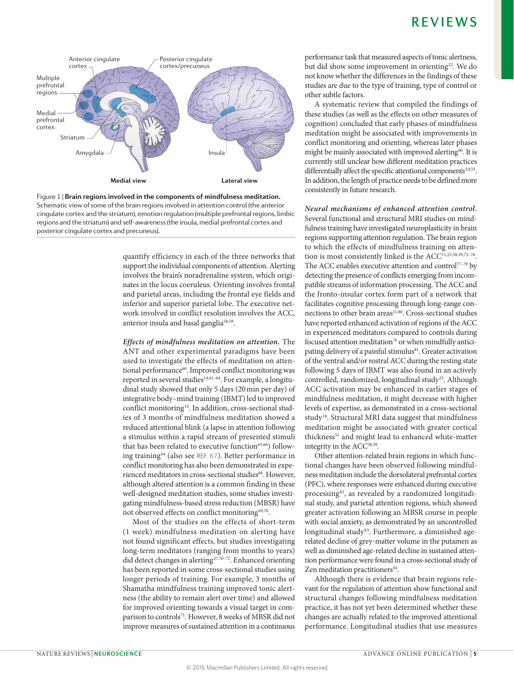

Figure 1 | Brain regions involved in the components of mindfulness meditation. Schematic view of some of the brain regions involved in attention control (the anterior cingulate cortex and the striatum), emotion regulation (multiple prefrontal regions, limbic regions and the striatum) and self-awareness (the insula, medial prefrontal cortex and posterior cingulate cortex and precuneus).

quantify efficiency in each of the three networks that support the individual components of attention. Alerting involves the brain's noradrenaline system, which originates in the locus coeruleus. Orienting involves frontal and parietal areas, including the frontal eye fields and inferior and superior parietal lobe. The executive network involved in conflict resolution involves the ACC, anterior insula and basal ganglia<sup>58,59</sup>.

Effects of mindfulness meditation on attention. The ANT and other experimental paradigms have been used to investigate the effects of meditation on attentional performance<sup>60</sup>. Improved conflict monitoring was reported in several studies<sup>14,61-64</sup>. For example, a longitudinal study showed that only 5 days (20 min per day) of integrative body-mind training (IBMT) led to improved conflict monitoring<sup>14</sup>. In addition, cross-sectional studies of 3 months of mindfulness meditation showed a reduced attentional blink (a lapse in attention following a stimulus within a rapid stream of presented stimuli that has been related to executive function<sup>65,66</sup>) following training<sup>64</sup> (also see REF. 67). Better performance in conflict monitoring has also been demonstrated in experienced meditators in cross-sectional studies<sup>68</sup>. However, although altered attention is a common finding in these well-designed meditation studies, some studies investigating mindfulness-based stress reduction (MBSR) have not observed effects on conflict monitoring<sup>69,70</sup>

Most of the studies on the effects of short-term (1 week) mindfulness meditation on alerting have not found significant effects, but studies investigating long-term meditators (ranging from months to years) did detect changes in alerting<sup>27,70-72</sup>. Enhanced orienting has been reported in some cross-sectional studies using longer periods of training. For example, 3 months of Shamatha mindfulness training improved tonic alertness (the ability to remain alert over time) and allowed for improved orienting towards a visual target in comparison to controls<sup>71</sup>. However, 8 weeks of MBSR did not improve measures of sustained attention in a continuous performance task that measured aspects of tonic alertness, but did show some improvement in orienting<sup>22</sup>. We do not know whether the differences in the findings of these studies are due to the type of training, type of control or other subtle factors.

A systematic review that compiled the findings of these studies (as well as the effects on other measures of cognition) concluded that early phases of mindfulness meditation might be associated with improvements in conflict monitoring and orienting, whereas later phases might be mainly associated with improved alerting<sup>60</sup>. It is currently still unclear how different meditation practices differentially affect the specific attentional components<sup>2,9,53</sup>. In addition, the length of practice needs to be defined more consistently in future research.

Neural mechanisms of enhanced attention control. Several functional and structural MRI studies on mindfulness training have investigated neuroplasticity in brain regions supporting attention regulation. The brain region to which the effects of mindfulness training on attention is most consistently linked is the ACC<sup>11,23,38,39,73-76</sup>. The ACC enables executive attention and control<sup>77-79</sup> by detecting the presence of conflicts emerging from incompatible streams of information processing. The ACC and the fronto-insular cortex form part of a network that facilitates cognitive processing through long-range connections to other brain areas<sup>11,80</sup>. Cross-sectional studies have reported enhanced activation of regions of the ACC in experienced meditators compared to controls during focused attention meditation<sup>76</sup> or when mindfully anticipating delivery of a painful stimulus<sup>81</sup>. Greater activation of the ventral and/or rostral ACC during the resting state following 5 days of IBMT was also found in an actively controlled, randomized, longitudinal study<sup>23</sup>. Although ACC activation may be enhanced in earlier stages of mindfulness meditation, it might decrease with higher levels of expertise, as demonstrated in a cross-sectional study<sup>18</sup>. Structural MRI data suggest that mindfulness meditation might be associated with greater cortical thickness<sup>51</sup> and might lead to enhanced white-matter integrity in the ACC<sup>38,39</sup>.

Other attention-related brain regions in which functional changes have been observed following mindfulness meditation include the dorsolateral prefrontal cortex (PFC), where responses were enhanced during executive processing<sup>82</sup>, as revealed by a randomized longitudinal study, and parietal attention regions, which showed greater activation following an MBSR course in people with social anxiety, as demonstrated by an uncontrolled longitudinal study<sup>83</sup>. Furthermore, a diminished agerelated decline of grey-matter volume in the putamen as well as diminished age-related decline in sustained attention performance were found in a cross-sectional study of Zen meditation practitioners<sup>34</sup>.

Although there is evidence that brain regions relevant for the regulation of attention show functional and structural changes following mindfulness meditation practice, it has not yet been determined whether these changes are actually related to the improved attentional performance. Longitudinal studies that use measures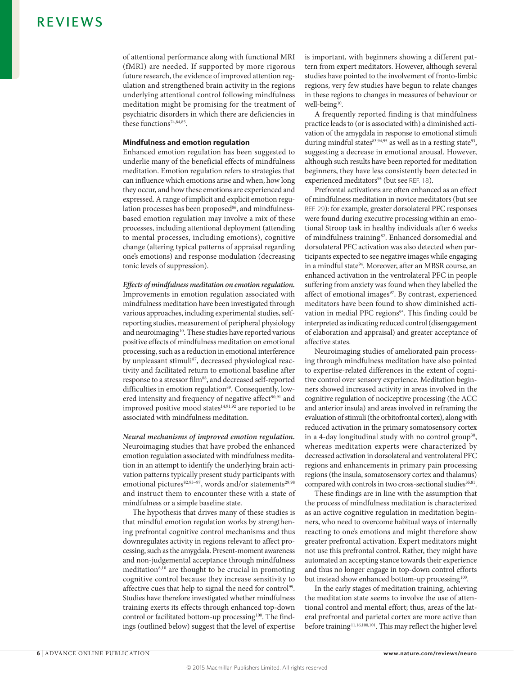of attentional performance along with functional MRI (fMRI) are needed. If supported by more rigorous future research, the evidence of improved attention regulation and strengthened brain activity in the regions underlying attentional control following mindfulness meditation might be promising for the treatment of psychiatric disorders in which there are deficiencies in these functions<sup>74,84,85</sup>.

### **Mindfulness and emotion regulation**

Enhanced emotion regulation has been suggested to underlie many of the beneficial effects of mindfulness meditation. Emotion regulation refers to strategies that can influence which emotions arise and when, how long they occur, and how these emotions are experienced and expressed. A range of implicit and explicit emotion regulation processes has been proposed<sup>86</sup>, and mindfulnessbased emotion regulation may involve a mix of these processes, including attentional deployment (attending to mental processes, including emotions), cognitive change (altering typical patterns of appraisal regarding one's emotions) and response modulation (decreasing tonic levels of suppression).

**Effects of mindfulness meditation on emotion regulation.** Improvements in emotion regulation associated with mindfulness meditation have been investigated through various approaches, including experimental studies, selfreporting studies, measurement of peripheral physiology and neuroimaging<sup>10</sup>. These studies have reported various positive effects of mindfulness meditation on emotional processing, such as a reduction in emotional interference by unpleasant stimuli<sup>87</sup>, decreased physiological reactivity and facilitated return to emotional baseline after response to a stressor film<sup>88</sup>, and decreased self-reported difficulties in emotion regulation<sup>89</sup>. Consequently, lowered intensity and frequency of negative affect<sup>90,91</sup> and improved positive mood states $14,91,92$  are reported to be associated with mindfulness meditation.

**Neural mechanisms of improved emotion regulation.** Neuroimaging studies that have probed the enhanced emotion regulation associated with mindfulness meditation in an attempt to identify the underlying brain activation patterns typically present study participants with emotional pictures<sup>82,93-97</sup>, words and/or statements<sup>29,98</sup> and instruct them to encounter these with a state of mindfulness or a simple baseline state.

The hypothesis that drives many of these studies is that mindful emotion regulation works by strengthening prefrontal cognitive control mechanisms and thus downregulates activity in regions relevant to affect processing, such as the amygdala. Present-moment awareness and non-judgemental acceptance through mindfulness meditation<sup>8,10</sup> are thought to be crucial in promoting cognitive control because they increase sensitivity to affective cues that help to signal the need for control<sup>99</sup>. Studies have therefore investigated whether mindfulness training exerts its effects through enhanced top-down control or facilitated bottom-up processing<sup>100</sup>. The findings (outlined below) suggest that the level of expertise is important, with beginners showing a different pattern from expert meditators. However, although several studies have pointed to the involvement of fronto-limbic regions, very few studies have begun to relate changes in these regions to changes in measures of behaviour or well-being<sup>10</sup>.

A frequently reported finding is that mindfulness practice leads to (or is associated with) a diminished activation of the amygdala in response to emotional stimuli during mindful states $83,94,95$  as well as in a resting state $93$ , suggesting a decrease in emotional arousal. However, although such results have been reported for meditation beginners, they have less consistently been detected in experienced meditators<sup>95</sup> (but see REF. 18).

Prefrontal activations are often enhanced as an effect of mindfulness meditation in novice meditators (but see REF. 29): for example, greater dorsolateral PFC responses were found during executive processing within an emotional Stroop task in healthy individuals after 6 weeks of mindfulness training<sup>82</sup>. Enhanced dorsomedial and dorsolateral PFC activation was also detected when participants expected to see negative images while engaging in a mindful state<sup>94</sup>. Moreover, after an MBSR course, an enhanced activation in the ventrolateral PFC in people suffering from anxiety was found when they labelled the affect of emotional images<sup>97</sup>. By contrast, experienced meditators have been found to show diminished activation in medial PFC regions<sup>95</sup>. This finding could be interpreted as indicating reduced control (disengagement of elaboration and appraisal) and greater acceptance of affective states.

Neuroimaging studies of ameliorated pain processing through mindfulness meditation have also pointed to expertise-related differences in the extent of cognitive control over sensory experience. Meditation beginners showed increased activity in areas involved in the cognitive regulation of nociceptive processing (the ACC and anterior insula) and areas involved in reframing the evaluation of stimuli (the orbitofrontal cortex), along with reduced activation in the primary somatosensory cortex in a 4-day longitudinal study with no control group<sup>30</sup>, whereas meditation experts were characterized by decreased activation in dorsolateral and ventrolateral PFC regions and enhancements in primary pain processing regions (the insula, somatosensory cortex and thalamus) compared with controls in two cross-sectional studies<sup>35,81</sup>.

These findings are in line with the assumption that the process of mindfulness meditation is characterized as an active cognitive regulation in meditation beginners, who need to overcome habitual ways of internally reacting to one's emotions and might therefore show greater prefrontal activation. Expert meditators might not use this prefrontal control. Rather, they might have automated an accepting stance towards their experience and thus no longer engage in top-down control efforts but instead show enhanced bottom-up processing<sup>100</sup>.

In the early stages of meditation training, achieving the meditation state seems to involve the use of attentional control and mental effort; thus, areas of the lateral prefrontal and parietal cortex are more active than before training<sup>11,16,100,101</sup>. This may reflect the higher level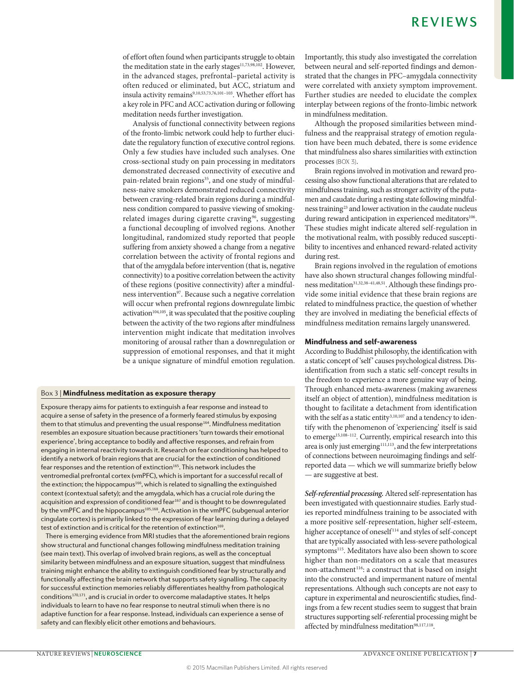of effort often found when participants struggle to obtain the meditation state in the early stages<sup>11,73,98,102</sup>. However, in the advanced stages, prefrontal–parietal activity is often reduced or eliminated, but ACC, striatum and insula activity remains<sup>9,10,53,73,76,101-103</sup>. Whether effort has a key role in PFC and ACC activation during or following meditation needs further investigation.

Analysis of functional connectivity between regions of the fronto-limbic network could help to further elucidate the regulatory function of executive control regions. Only a few studies have included such analyses. One cross-sectional study on pain processing in meditators demonstrated decreased connectivity of executive and pain-related brain regions<sup>35</sup>, and one study of mindfulness-naive smokers demonstrated reduced connectivity between craving-related brain regions during a mindfulness condition compared to passive viewing of smokingrelated images during cigarette craving<sup>96</sup>, suggesting a functional decoupling of involved regions. Another longitudinal, randomized study reported that people suffering from anxiety showed a change from a negative correlation between the activity of frontal regions and that of the amygdala before intervention (that is, negative connectivity) to a positive correlation between the activity of these regions (positive connectivity) after a mindfulness intervention<sup>97</sup>. Because such a negative correlation will occur when prefrontal regions downregulate limbic activation<sup>104,105</sup>, it was speculated that the positive coupling between the activity of the two regions after mindfulness intervention might indicate that meditation involves monitoring of arousal rather than a downregulation or suppression of emotional responses, and that it might be a unique signature of mindful emotion regulation.

### Box 3 | Mindfulness meditation as exposure therapy

Exposure therapy aims for patients to extinguish a fear response and instead to acquire a sense of safety in the presence of a formerly feared stimulus by exposing them to that stimulus and preventing the usual response<sup>164</sup>. Mindfulness meditation resembles an exposure situation because practitioners 'turn towards their emotional experience', bring acceptance to bodily and affective responses, and refrain from \$&2,2"&2("&("&'\$%&,+(%\$,1'"?"'\*('.O,%-)("'3(T\$)\$,%16(.&(#\$,%(1.&-"'".&"&2(6,)(6\$+>\$-('.( identify a network of brain regions that are crucial for the extinction of conditioned fear responses and the retention of extinction<sup>165</sup>. This network includes the ventromedial prefrontal cortex (vmPFC), which is important for a successful recall of the extinction; the hippocampus<sup>166</sup>, which is related to signalling the extinguished context (contextual safety); and the amygdala, which has a crucial role during the acquisition and expression of conditioned fear<sup>167</sup> and is thought to be downregulated by the vmPFC and the hippocampus<sup>105,168</sup>. Activation in the vmPFC (subgenual anterior cingulate cortex) is primarily linked to the expression of fear learning during a delayed test of extinction and is critical for the retention of extinction<sup>169</sup>.

There is emerging evidence from MRI studies that the aforementioned brain regions show structural and functional changes following mindfulness meditation training (see main text). This overlap of involved brain regions, as well as the conceptual similarity between mindfulness and an exposure situation, suggest that mindfulness training might enhance the ability to extinguish conditioned fear by structurally and functionally affecting the brain network that supports safety signalling. The capacity for successful extinction memories reliably differentiates healthy from pathological conditions<sup>170,171</sup>, and is crucial in order to overcome maladaptive states. It helps individuals to learn to have no fear response to neutral stimuli when there is no adaptive function for a fear response. Instead, individuals can experience a sense of safety and can flexibly elicit other emotions and behaviours.

Importantly, this study also investigated the correlation between neural and self-reported findings and demonstrated that the changes in PFC–amygdala connectivity were correlated with anxiety symptom improvement. Further studies are needed to elucidate the complex interplay between regions of the fronto-limbic network in mindfulness meditation.

Although the proposed similarities between mindfulness and the reappraisal strategy of emotion regulation have been much debated, there is some evidence that mindfulness also shares similarities with extinction processes (BOX 3).

Brain regions involved in motivation and reward processing also show functional alterations that are related to mindfulness training, such as stronger activity of the putamen and caudate during a resting state following mindfulness training23 and lower activation in the caudate nucleus during reward anticipation in experienced meditators<sup>106</sup>. These studies might indicate altered self-regulation in the motivational realm, with possibly reduced susceptibility to incentives and enhanced reward-related activity during rest.

Brain regions involved in the regulation of emotions have also shown structural changes following mindfulness meditation<sup>31,32,38-41,48,51</sup>. Although these findings provide some initial evidence that these brain regions are related to mindfulness practice, the question of whether they are involved in mediating the beneficial effects of mindfulness meditation remains largely unanswered.

### Mindfulness and self-awareness

According to Buddhist philosophy, the identification with a static concept of 'self' causes psychological distress. Disidentification from such a static self-concept results in the freedom to experience a more genuine way of being. Through enhanced meta-awareness (making awareness itself an object of attention), mindfulness meditation is thought to facilitate a detachment from identification with the self as a static entity<sup>3,10,107</sup> and a tendency to identify with the phenomenon of 'experiencing' itself is said to emerge<sup>15,108-112</sup>. Currently, empirical research into this area is only just emerging<sup>111,113</sup>, and the few interpretations of connections between neuroimaging findings and selfreported data — which we will summarize briefly below — are suggestive at best.

**Self-referential processing.** Altered self-representation has been investigated with questionnaire studies. Early studies reported mindfulness training to be associated with a more positive self-representation, higher self-esteem, higher acceptance of oneself<sup>114</sup> and styles of self-concept that are typically associated with less-severe pathological symptoms<sup>115</sup>. Meditators have also been shown to score higher than non-meditators on a scale that measures non-attachment<sup>116</sup>: a construct that is based on insight into the constructed and impermanent nature of mental representations. Although such concepts are not easy to capture in experimental and neuroscientific studies, findings from a few recent studies seem to suggest that brain structures supporting self-referential processing might be affected by mindfulness meditation<sup>98,117,118</sup>.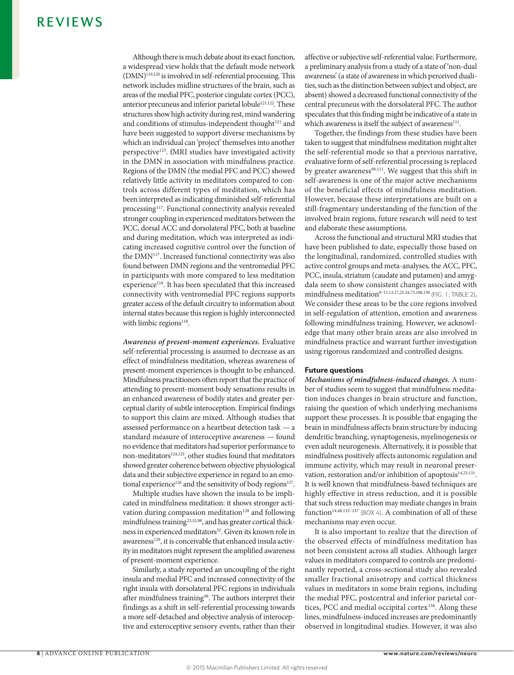Although there is much debate about its exact function, a widespread view holds that the default mode network  $(DMN)^{119,120}$  is involved in self-referential processing. This network includes midline structures of the brain, such as areas of the medial PFC, posterior cingulate cortex (PCC), anterior precuneus and inferior parietal lobule<sup>121,122</sup>. These structures show high activity during rest, mind wandering and conditions of stimulus-independent thought<sup>121</sup> and have been suggested to support diverse mechanisms by which an individual can 'project' themselves into another perspective<sup>123</sup>. fMRI studies have investigated activity in the DMN in association with mindfulness practice. Regions of the DMN (the medial PFC and PCC) showed relatively little activity in meditators compared to controls across different types of meditation, which has been interpreted as indicating diminished self-referential processing<sup>117</sup>. Functional connectivity analysis revealed stronger coupling in experienced meditators between the PCC, dorsal ACC and dorsolateral PFC, both at baseline and during meditation, which was interpreted as indicating increased cognitive control over the function of the DMN<sup>117</sup>. Increased functional connectivity was also found between DMN regions and the ventromedial PFC in participants with more compared to less meditation experience<sup>118</sup>. It has been speculated that this increased connectivity with ventromedial PFC regions supports greater access of the default circuitry to information about internal states because this region is highly interconnected with limbic regions<sup>118</sup>.

**Awareness of present-moment experiences.** Evaluative self-referential processing is assumed to decrease as an effect of mindfulness meditation, whereas awareness of present-moment experiences is thought to be enhanced. Mindfulness practitioners often report that the practice of attending to present-moment body sensations results in an enhanced awareness of bodily states and greater perceptual clarity of subtle interoception. Empirical findings to support this claim are mixed. Although studies that assessed performance on a heartbeat detection task — a standard measure of interoceptive awareness — found no evidence that meditators had superior performance to non-meditators<sup>124,125</sup>, other studies found that meditators showed greater coherence between objective physiological data and their subjective experience in regard to an emotional experience<sup>126</sup> and the sensitivity of body regions<sup>127</sup>.

Multiple studies have shown the insula to be implicated in mindfulness meditation: it shows stronger activation during compassion meditation $128$  and following mindfulness training<sup>23,52,98</sup>, and has greater cortical thickness in experienced meditators<sup>32</sup>. Given its known role in awareness<sup>129</sup>, it is conceivable that enhanced insula activity in meditators might represent the amplified awareness of present-moment experience.

Similarly, a study reported an uncoupling of the right insula and medial PFC and increased connectivity of the right insula with dorsolateral PFC regions in individuals after mindfulness training<sup>98</sup>. The authors interpret their findings as a shift in self-referential processing towards a more self-detached and objective analysis of interoceptive and exteroceptive sensory events, rather than their affective or subjective self-referential value. Furthermore, a preliminary analysis from a study of a state of 'non-dual awareness' (a state of awareness in which perceived dualities, such as the distinction between subject and object, are absent) showed a decreased functional connectivity of the central precuneus with the dorsolateral PFC. The author speculates that this finding might be indicative of a state in which awareness is itself the subject of awareness<sup>111</sup>.

Together, the findings from these studies have been taken to suggest that mindfulness meditation might alter the self-referential mode so that a previous narrative, evaluative form of self-referential processing is replaced by greater awareness<sup>98,111</sup>. We suggest that this shift in self-awareness is one of the major active mechanisms of the beneficial effects of mindfulness meditation. However, because these interpretations are built on a still-fragmentary understanding of the function of the involved brain regions, future research will need to test and elaborate these assumptions.

Across the functional and structural MRI studies that have been published to date, especially those based on the longitudinal, randomized, controlled studies with active control groups and meta-analyses, the ACC, PFC, PCC, insula, striatum (caudate and putamen) and amygdala seem to show consistent changes associated with  $mindfulness; medium<sup>9–11,13,17,23,34,73,108,130</sup>$ <sub>(FIG. 1; TABLE 2)</sub>. We consider these areas to be the core regions involved in self-regulation of attention, emotion and awareness following mindfulness training. However, we acknowledge that many other brain areas are also involved in mindfulness practice and warrant further investigation using rigorous randomized and controlled designs.

### **Future questions**

**Mechanisms of mindfulness-induced changes.** A number of studies seem to suggest that mindfulness meditation induces changes in brain structure and function, raising the question of which underlying mechanisms support these processes. It is possible that engaging the brain in mindfulness affects brain structure by inducing dendritic branching, synaptogenesis, myelinogenesis or even adult neurogenesis. Alternatively, it is possible that mindfulness positively affects autonomic regulation and immune activity, which may result in neuronal preservation, restoration and/or inhibition of apoptosis $14,23,131$ . It is well known that mindfulness-based techniques are highly effective in stress reduction, and it is possible that such stress reduction may mediate changes in brain function<sup>14,48,132-137</sup> (BOX 4). A combination of all of these mechanisms may even occur.

It is also important to realize that the direction of the observed effects of mindfulness meditation has not been consistent across all studies. Although larger values in meditators compared to controls are predominantly reported, a cross-sectional study also revealed smaller fractional anisotropy and cortical thickness values in meditators in some brain regions, including the medial PFC, postcentral and inferior parietal cortices, PCC and medial occipital cortex<sup>138</sup>. Along these lines, mindfulness-induced increases are predominantly observed in longitudinal studies. However, it was also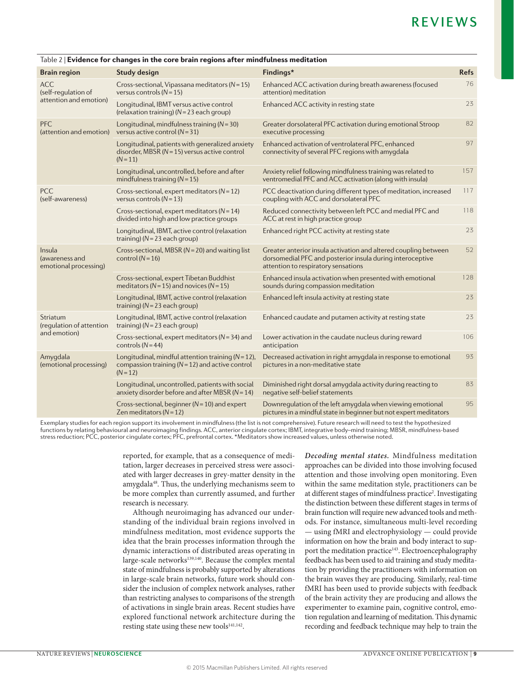| <b>Brain region</b>                               | <b>Study design</b>                                                                                                         | Findings*                                                                                                                                                           | <b>Refs</b> |
|---------------------------------------------------|-----------------------------------------------------------------------------------------------------------------------------|---------------------------------------------------------------------------------------------------------------------------------------------------------------------|-------------|
| <b>ACC</b><br>(self-requlation of                 | Cross-sectional, Vipassana meditators ( $N = 15$ )<br>versus controls $(N = 15)$                                            | Enhanced ACC activation during breath awareness (focused<br>attention) meditation                                                                                   | 76          |
| attention and emotion)                            | Longitudinal, IBMT versus active control<br>(relaxation training) ( $N = 23$ each group)                                    | Enhanced ACC activity in resting state                                                                                                                              | 23          |
| PFC<br>(attention and emotion)                    | Longitudinal, mindfulness training ( $N = 30$ )<br>versus active control ( $N = 31$ )                                       | Greater dorsolateral PFC activation during emotional Stroop<br>executive processing                                                                                 | 82          |
|                                                   | Longitudinal, patients with generalized anxiety<br>disorder, MBSR ( $N = 15$ ) versus active control<br>$(N = 11)$          | Enhanced activation of ventrolateral PFC, enhanced<br>connectivity of several PFC regions with amygdala                                                             | 97          |
|                                                   | Longitudinal, uncontrolled, before and after<br>mindfulness training $(N = 15)$                                             | Anxiety relief following mindfulness training was related to<br>ventromedial PFC and ACC activation (along with insula)                                             | 157         |
| <b>PCC</b><br>(self-awareness)                    | Cross-sectional, expert meditators ( $N = 12$ )<br>versus controls $(N = 13)$                                               | PCC deactivation during different types of meditation, increased<br>coupling with ACC and dorsolateral PFC                                                          | 117         |
|                                                   | Cross-sectional, expert meditators ( $N = 14$ )<br>divided into high and low practice groups                                | Reduced connectivity between left PCC and medial PFC and<br>ACC at rest in high practice group                                                                      | 118         |
|                                                   | Longitudinal, IBMT, active control (relaxation<br>training) ( $N = 23$ each group)                                          | Enhanced right PCC activity at resting state                                                                                                                        | 23          |
| Insula<br>(awareness and<br>emotional processing) | Cross-sectional, MBSR ( $N = 20$ ) and waiting list<br>control $(N=16)$                                                     | Greater anterior insula activation and altered coupling between<br>dorsomedial PFC and posterior insula during interoceptive<br>attention to respiratory sensations | 52          |
|                                                   | Cross-sectional, expert Tibetan Buddhist<br>meditators ( $N = 15$ ) and novices ( $N = 15$ )                                | Enhanced insula activation when presented with emotional<br>sounds during compassion meditation                                                                     | 128         |
|                                                   | Longitudinal, IBMT, active control (relaxation<br>training) ( $N = 23$ each group)                                          | Enhanced left insula activity at resting state                                                                                                                      | 23          |
| Striatum<br>(requlation of attention              | Longitudinal, IBMT, active control (relaxation<br>training) ( $N = 23$ each group)                                          | Enhanced caudate and putamen activity at resting state                                                                                                              | 23          |
| and emotion)                                      | Cross-sectional, expert meditators ( $N = 34$ ) and<br>controls $(N=44)$                                                    | Lower activation in the caudate nucleus during reward<br>anticipation                                                                                               | 106         |
| Amygdala<br>(emotional processing)                | Longitudinal, mindful attention training ( $N = 12$ ),<br>compassion training ( $N = 12$ ) and active control<br>$(N = 12)$ | Decreased activation in right amygdala in response to emotional<br>pictures in a non-meditative state                                                               | 93          |
|                                                   | Longitudinal, uncontrolled, patients with social<br>anxiety disorder before and after MBSR ( $N = 14$ )                     | Diminished right dorsal amygdala activity during reacting to<br>negative self-belief statements                                                                     | 83          |
|                                                   | Cross-sectional, beginner ( $N = 10$ ) and expert<br>Zen meditators ( $N = 12$ )                                            | Downregulation of the left amygdala when viewing emotional<br>pictures in a mindful state in beginner but not expert meditators                                     | 95          |
|                                                   |                                                                                                                             |                                                                                                                                                                     |             |

### Table 2 | Evidence for changes in the core brain regions after mindfulness meditation

Exemplary studies for each region support its involvement in mindfulness (the list is not comprehensive). Future research will need to test the hypothesized functions by relating behavioural and neuroimaging findings. ACC, anterior cingulate cortex; IBMT, integrative body–mind training; MBSR, mindfulness-based stress reduction; PCC, posterior cingulate cortex; PFC, prefrontal cortex. \*Meditators show increased values, unless otherwise noted.

> reported, for example, that as a consequence of meditation, larger decreases in perceived stress were associated with larger decreases in grey-matter density in the amygdala48. Thus, the underlying mechanisms seem to be more complex than currently assumed, and further research is necessary.

> Although neuroimaging has advanced our understanding of the individual brain regions involved in mindfulness meditation, most evidence supports the idea that the brain processes information through the dynamic interactions of distributed areas operating in large-scale networks<sup>139,140</sup>. Because the complex mental state of mindfulness is probably supported by alterations in large-scale brain networks, future work should consider the inclusion of complex network analyses, rather than restricting analyses to comparisons of the strength of activations in single brain areas. Recent studies have explored functional network architecture during the resting state using these new tools<sup>141,142</sup>.

**Decoding mental states.** Mindfulness meditation approaches can be divided into those involving focused attention and those involving open monitoring. Even within the same meditation style, practitioners can be at different stages of mindfulness practice<sup>2</sup>. Investigating the distinction between these different stages in terms of brain function will require new advanced tools and methods. For instance, simultaneous multi-level recording — using fMRI and electrophysiology — could provide information on how the brain and body interact to support the meditation practice<sup>143</sup>. Electroencephalography feedback has been used to aid training and study meditation by providing the practitioners with information on the brain waves they are producing. Similarly, real-time fMRI has been used to provide subjects with feedback of the brain activity they are producing and allows the experimenter to examine pain, cognitive control, emotion regulation and learning of meditation. This dynamic recording and feedback technique may help to train the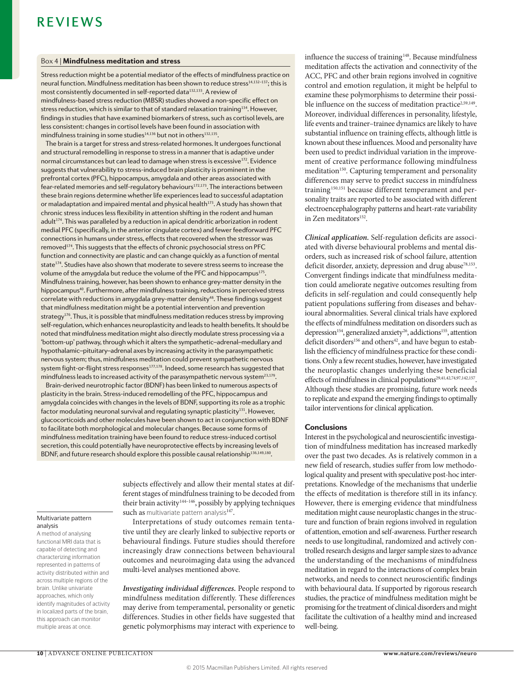### Box 4 | Mindfulness meditation and stress

 $8$  Stress reduction might be a potential mediator of the effects of mindfulness practice on neural function. Mindfulness meditation has been shown to reduce stress $^{14,132-137}$ : this is most consistently documented in self-reported data<sup>132,133</sup>. A review of mindfulness-based stress reduction (MBSR) studies showed a non-specific effect on stress reduction, which is similar to that of standard relaxation training<sup>134</sup>. However, findings in studies that have examined biomarkers of stress, such as cortisol levels, are less consistent: changes in cortisol levels have been found in association with mindfulness training in some studies<sup>14,136</sup> but not in others<sup>132,135</sup>.

The brain is a target for stress and stress-related hormones. It undergoes functional and structural remodelling in response to stress in a manner that is adaptive under normal circumstances but can lead to damage when stress is excessive<sup>172</sup>. Evidence suggests that vulnerability to stress-induced brain plasticity is prominent in the prefrontal cortex (PFC), hippocampus, amygdala and other areas associated with  $fear-related$  memories and self-regulatory behaviours $172,173$ . The interactions between these brain regions determine whether life experiences lead to successful adaptation or maladaptation and impaired mental and physical health<sup>173</sup>. A study has shown that chronic stress induces less flexibility in attention shifting in the rodent and human adult<sup>174</sup>. This was paralleled by a reduction in apical dendritic arborization in rodent medial PFC (specifically, in the anterior cingulate cortex) and fewer feedforward PFC connections in humans under stress, effects that recovered when the stressor was removed<sup>174</sup>. This suggests that the effects of chronic psychosocial stress on PFC function and connectivity are plastic and can change quickly as a function of mental state<sup>174</sup>. Studies have also shown that moderate to severe stress seems to increase the volume of the amygdala but reduce the volume of the PFC and hippocampus<sup>175</sup>. Mindfulness training, however, has been shown to enhance grey-matter density in the hippocampus<sup>40</sup>. Furthermore, after mindfulness training, reductions in perceived stress correlate with reductions in amygdala grey-matter density<sup>48</sup>. These findings suggest that mindfulness meditation might be a potential intervention and prevention strategy<sup>176</sup>. Thus, it is possible that mindfulness meditation reduces stress by improving self-regulation, which enhances neuroplasticity and leads to health benefits. It should be noted that mindfulness meditation might also directly modulate stress processing via a 'bottom-up' pathway, through which it alters the sympathetic-adrenal-medullary and hypothalamic-pituitary-adrenal axes by increasing activity in the parasympathetic nervous system; thus, mindfulness meditation could prevent sympathetic nervous system fight-or-flight stress responses<sup>177,178</sup>. Indeed, some research has suggested that  $m$ indfulness leads to increased activity of the parasympathetic nervous system<sup>23,179</sup>.

Brain-derived neurotrophic factor (BDNF) has been linked to numerous aspects of plasticity in the brain. Stress-induced remodelling of the PFC, hippocampus and amygdala coincides with changes in the levels of BDNF, supporting its role as a trophic factor modulating neuronal survival and regulating synaptic plasticity<sup>131</sup>. However, glucocorticoids and other molecules have been shown to act in conjunction with BDNF to facilitate both morphological and molecular changes. Because some forms of  $m$ indfulness meditation training have been found to reduce stress-induced cortisol secretion, this could potentially have neuroprotective effects by increasing levels of BDNF, and future research should explore this possible causal relationship<sup>136,149,180</sup>.

Multivariate pattern analysis

A method of analysing functional MRI data that is capable of detecting and characterizing information represented in patterns of activity distributed within and across multiple regions of the brain. Unlike univariate approaches, which only identify magnitudes of activity in localized parts of the brain, this approach can monitor multiple areas at once.

subjects effectively and allow their mental states at different stages of mindfulness training to be decoded from their brain activity<sup>144–146</sup>, possibly by applying techniques such as multivariate pattern analysis<sup>147</sup>.

Interpretations of study outcomes remain tentative until they are clearly linked to subjective reports or behavioural findings. Future studies should therefore increasingly draw connections between behavioural outcomes and neuroimaging data using the advanced multi-level analyses mentioned above.

**Investigating individual differences.** People respond to mindfulness meditation differently. These differences may derive from temperamental, personality or genetic differences. Studies in other fields have suggested that genetic polymorphisms may interact with experience to influence the success of training<sup>148</sup>. Because mindfulness meditation affects the activation and connectivity of the ACC, PFC and other brain regions involved in cognitive control and emotion regulation, it might be helpful to examine these polymorphisms to determine their possible influence on the success of meditation practice<sup>2,59,149</sup>. Moreover, individual differences in personality, lifestyle, life events and trainer–trainee dynamics are likely to have substantial influence on training effects, although little is known about these influences. Mood and personality have been used to predict individual variation in the improvement of creative performance following mindfulness meditation<sup>150</sup>. Capturing temperament and personality differences may serve to predict success in mindfulness training150,151 because different temperament and personality traits are reported to be associated with different electroencephalography patterns and heart-rate variability in Zen meditators<sup>152</sup>.

**Clinical application.** Self-regulation deficits are associated with diverse behavioural problems and mental disorders, such as increased risk of school failure, attention deficit disorder, anxiety, depression and drug abuse<sup>78,153</sup>. Convergent findings indicate that mindfulness meditation could ameliorate negative outcomes resulting from deficits in self-regulation and could consequently help patient populations suffering from diseases and behavioural abnormalities. Several clinical trials have explored the effects of mindfulness meditation on disorders such as depression<sup>154</sup>, generalized anxiety<sup>26</sup>, addictions<sup>155</sup>, attention deficit disorders<sup>156</sup> and others<sup>42</sup>, and have begun to establish the efficiency of mindfulness practice for these conditions. Only a few recent studies, however, have investigated the neuroplastic changes underlying these beneficial effects of mindfulness in clinical populations<sup>29,41,42,74,97,142,157</sup>. Although these studies are promising, future work needs to replicate and expand the emerging findings to optimally tailor interventions for clinical application.

### **Conclusions**

Interest in the psychological and neuroscientific investigation of mindfulness meditation has increased markedly over the past two decades. As is relatively common in a new field of research, studies suffer from low methodological quality and present with speculative post-hoc interpretations. Knowledge of the mechanisms that underlie the effects of meditation is therefore still in its infancy. However, there is emerging evidence that mindfulness meditation might cause neuroplastic changes in the structure and function of brain regions involved in regulation of attention, emotion and self-awareness. Further research needs to use longitudinal, randomized and actively controlled research designs and larger sample sizes to advance the understanding of the mechanisms of mindfulness meditation in regard to the interactions of complex brain networks, and needs to connect neuroscientific findings with behavioural data. If supported by rigorous research studies, the practice of mindfulness meditation might be promising for the treatment of clinical disorders and might facilitate the cultivation of a healthy mind and increased well-being.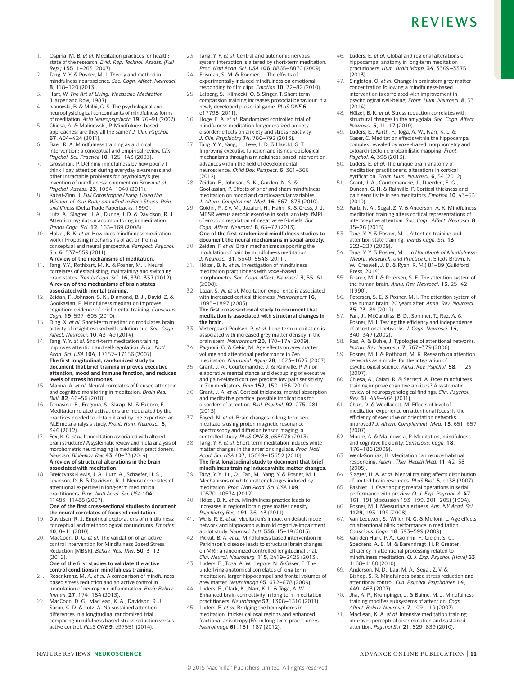- 1. Ospina, M. B. *et al.* Meditation practices for health: state of the research. *Evid. Rep. Technol. Assess. (Full Rep.)* **155**, 1–263 (2007).
- 2. Tang, Y.-Y. & Posner, M. I. Theory and method in mindfulness neuroscience. *Soc. Cogn. Affect. Neurosci.*  **8**, 118–120 (2013).
- 3. Hart, W. *The Art of Living: Vipassana Meditation* (Harper and Row, 1987).
- 4. Ivanovski, B. & Malhi, G. S. The psychological and neurophysiological concomitants of mindfulness forms of meditation. *Acta Neuropsychiatr.* **19**, 76–91 (2007).
- 5. Chiesa, A. & Malinowski, P. Mindfulness-based approaches: are they all the same? *J. Clin. Psychol.* **67**, 404–424 (2011).
- 6. Baer, R. A. Mindfulness training as a clinical intervention: a conceptual and empirical review. *Clin. Psychol. Sci. Practice* **10,** 125–143 (2003).
- 7. Grossman, P. Defining mindfulness by how poorly I think I pay attention during everyday awareness and other intractable problems for psychology's (re) invention of mindfulness: comment on Brown *et al. Psychol. Assess.* **23**, 1034–1040 (2011).
- 8. Kabat-Zinn, J. *Full Catastrophe Living: Using the Wisdom of Your Body and Mind to Face Stress, Pain, and Illness* (Delta Trade Paperbacks, 1990).
- 9. Lutz, A., Slagter, H. A., Dunne, J. D. & Davidson, R. J. Attention regulation and monitoring in meditation. *Trends Cogn. Sci.* **12**, 163–169 (2008).
- 10. Hölzel, B. K. *et al.* How does mindfulness meditation work? Proposing mechanisms of action from a conceptual and neural perspective. *Perspect. Psychol. Sci.* **6**, 537–559 (2011).
- **A review of the mechanisms of meditation.** Tang, Y.Y., Rothbart, M. K. & Posner, M. I. Neural correlates of establishing, maintaining and switching brain states. *Trends Cogn. Sci.* **16**, 330–337 (2012). **A review of the mechanisms of brain states associated with mental training.**
- 12. Zeidan, F., Johnson, S. K., Diamond, B. J., David, Z. & Goolkasian, P. Mindfulness meditation improves cognition: evidence of brief mental training. *Conscious.*
- *Cogn.* **19**, 597–605 (2010). 13. Ding, X. *et al.* Short-term meditation modulates brain activity of insight evoked with solution cue. *Soc. Cogn. Affect. Neurosci.* **10**, 43–49 (2014).
- 14. Tang, Y. Y. *et al.* Short-term meditation training improves attention and self-regulation. *Proc. Natl Acad. Sci. USA* **104**, 17152–17156 (2007). **The first longitudinal, randomized study to document that brief training improves executive attention, mood and immune function, and reduces levels of stress hormones.**
- 15. Manna, A. *et al.* Neural correlates of focused attention and cognitive monitoring in meditation. *Brain Res. Bull.* **82**, 46–56 (2010).
- 16. Tomasino, B., Fregona, S., Skrap, M. & Fabbro, F. Meditation-related activations are modulated by the practices needed to obtain it and by the expertise: an ALE meta-analysis study. *Front. Hum. Neurosci.* **6**, 346 (2012).
- 17. Fox, K. C. *et al.* Is meditation associated with altered brain structure? A systematic review and meta-analysis of morphometric neuroimaging in meditation practitioners. *Neurosci. Biobehav. Rev.* **43**, 48–73 (2014). **A review of structural alterations in the brain associated with meditation.**
- 18. Brefczynski-Lewis, J. A., Lutz, A., Schaefer, H. S., Levinson, D. B. & Davidson, R. J. Neural correlates of attentional expertise in long-term meditation practitioners. *Proc. Natl Acad. Sci. USA* **104**, 11483–11488 (2007).

#### **One of the first cross-sectional studies to document the neural correlates of focused meditation.**

- 19. Davidson, R. J. Empirical explorations of mindfulness: conceptual and methodological conundrums. *Emotion*  **10**, 8–11 (2010).
- 20. MacCoon, D. G. *et al.* The validation of an active control intervention for Mindfulness Based Stress Reduction (MBSR). *Behav. Res. Ther.* **50**, 3–12  $(2012)$ **One of the first studies to validate the active**

**control conditions in mindfulness training.**

- 21. Rosenkranz, M. A. *et al.* A comparison of mindfulnessbased stress reduction and an active control in modulation of neurogenic inflammation. *Brain Behav. Immun.* **27**, 174–184 (2013). 22. MacCoon, D. G., MacLean, K. A., Davidson, R. J.,
- Saron, C. D. & Lutz, A. No sustained attention differences in a longitudinal randomized trial comparing mindfulness based stress reduction versus active control. *PLoS ONE* **9**, e97551 (2014).
- 23. Tang, Y. Y. *et al.* Central and autonomic nervous system interaction is altered by short-term meditation. *Proc. Natl Acad. Sci. USA* **106**, 8865–8870 (2009).
- 24. Erisman, S. M. & Roemer, L. The effects of experimentally induced mindfulness on emotional responding to film clips. *Emotion* **10**, 72–82 (2010).
- 25. Leiberg, S., Klimecki, O. & Singer, T. Short-term compassion training increases prosocial behaviour in a newly developed prosocial game. *PLoS ONE* **6**, e17798 (2011).
- 26. Hoge, E. A. *et al.* Randomized controlled trial of mindfulness meditation for generalized anxiety disorder: effects on anxiety and stress reactivity. *J. Clin. Psychiatry* **74**, 786–792 (2013).
- 27. Tang, Y. Y., Yang, L., Leve, L. D. & Harold, G. T. Improving executive function and its neurobiological mechanisms through a mindfulness-based intervention: advances within the field of developmental neuroscience**.** *Child Dev. Perspect.* **6**, 361–366 (2012).
- 28. Zeidan, F., Johnson, S. K., Gordon, N. S. & Goolkasian, P. Effects of brief and sham mindfulness meditation on mood and cardiovascular variables. *J. Altern. Complement. Med.* **16**, 867–873 (2010).
- 29. Goldin, P., Ziv, M., Jazaieri, H., Hahn, K. & Gross, J. J. MBSR versus aerobic exercise in social anxiety: fMRI of emotion regulation of negative self-beliefs. *Soc. Cogn. Affect. Neurosci.* **8**, 65–72 (2013). **One of the first randomized mindfulness studies to**

### **document the neural mechanisms in social anxiety.** 30. Zeidan, F. *et al.* Brain mechanisms supporting the

- modulation of pain by mindfulness meditation. *J. Neurosci.* **31**, 5540–5548 (2011). 31. Hölzel, B. K. *et al.* Investigation of mindfulness meditation practitioners with voxel-based
- morphometry. *Soc. Cogn. Affect. Neurosci.* **3**, 55–61 (2008). 32. Lazar, S. W. *et al.* Meditation experience is associated with increased cortical thickness. *Neuroreport* **16**,

1893–1897 (2005). **The first cross-sectional study to document that meditation is associated with structural changes in the brain.**

- 33. Vestergaard-Poulsen, P. *et al.* Long-term meditation is associated with increased grey matter density in the brain stem. *Neuroreport* **20**, 170–174 (2009).
- 34. Pagnoni, G. & Cekic, M. Age effects on grey matter volume and attentional performance in Zen meditation. *Neurobiol. Aging* **28**, 1623–1627 (2007).
- 35. Grant, J. A., Courtemanche, J. & Rainville, P. A nonelaborative mental stance and decoupling of executive and pain-related cortices predicts low pain sensitivity
- in Zen meditators. *Pain* **152**, 150–156 (2010). 36. Grant, J. A. *et al.* Cortical thickness, mental absorption and meditative practice: possible implications for disorders of attention. *Biol. Psychol.* **92**, 275–281  $(2013)$
- 37. Fayed, N. *et al.* Brain changes in long-term zen meditators using proton magnetic resonance spectroscopy and diffusion tensor imaging: a controlled study. *PLoS ONE* **8**, e58476 (2013).
- 38. Tang, Y. Y. *et al.* Short-term meditation induces white matter changes in the anterior cingulate. *Proc. Natl Acad. Sci. USA* **107**, 15649–15652 (2010). **The first longitudinal study to document that brief mindfulness training induces white-matter changes.**
- Tang, Y. Y., Lu, Q., Fan, M., Yang, Y. & Posner, M. I. Mechanisms of white matter changes induced by meditation. *Proc. Natl Acad. Sci. USA* **109**, 10570–10574 (2012).
- 40. Hölzel, B. K. *et al.* Mindfulness practice leads to increases in regional brain grey matter density. *Psychiatry Res.* **191**, 36–43 (2011).
- 41. Wells, R. E. *et al.* Meditation's impact on default mode network and hippocampus in mild cognitive impairment: a pilot study. *Neurosci. Lett.* **556**, 15–19 (2013).
- Pickut, B. A. *et al.* Mindfulness based intervention in Parkinson's disease leads to structural brain changes on MRI: a randomized controlled longitudinal trial.
- *Clin. Neurol. Neurosurg.* **115**, 2419–2425 (2013). 43. Luders, E., Toga, A. W., Lepore, N. & Gaser, C. The underlying anatomical correlates of long-term meditation: larger hippocampal and frontal volumes of grey matter. *Neuroimage* **45**, 672–678 (2009).
- Luders, E., Clark, K., Narr, K. L. & Toga, A. W. Enhanced brain connectivity in long-term meditation practitioners. *Neuroimage* **57**, 1308–1316 (2011). 45. Luders, E. *et al.* Bridging the hemispheres in
- meditation: thicker callosal regions and enhanced fractional anisotropy (FA) in long-term practitioners. *Neuroimage* **61**, 181–187 (2012).
- 46. Luders, E. *et al.* Global and regional alterations of hippocampal anatomy in long-term meditation practitioners. *Hum. Brain Mapp.* **34**, 3369–3375 (2013).
- 47. Singleton, O. *et al.* Change in brainstem grey matter concentration following a mindfulness-based intervention is correlated with improvement in psychological well-being. *Front. Hum. Neurosci.* **8**, 33  $(2014)$
- 48. Hölzel, B. K. *et al.* Stress reduction correlates with structural changes in the amygdala. *Soc. Cogn. Affect. Neurosci.* **5**, 11–17 (2010).
- 49. Luders, E., Kurth, F., Toga, A. W., Narr, K. L. & Gaser, C. Meditation effects within the hippocampal complex revealed by voxel-based morphometry and cytoarchitectonic probabilistic mapping. *Front. Psychol.* **4**, 398 (2013).
- 50. Luders, E. *et al.* The unique brain anatomy of meditation practitioners: alterations in cortical gyrification. *Front. Hum. Neurosci.* **6**, 34 (2012).
- 51. Grant, J. A., Courtemanche, J., Duerden, E. G., Duncan, G. H. & Rainville, P. Cortical thickness and pain sensitivity in zen meditators. *Emotion* **10**, 43–53  $(2010)$
- 52. Farb, N. A., Segal, Z. V. & Anderson, A. K. Mindfulness meditation training alters cortical representations of interoceptive attention. *Soc. Cogn. Affect. Neurosci.* **8**, 15–26 (2013).
- 53. Tang, Y.-Y. & Posner, M. I. Attention training and attention state training. *Trends Cogn. Sci.* **13**, 222–227 (2009).
- 54. Tang, Y. Y. & Posner, M. I. in *Handbook of Mindfulness: Theory, Research, and Practice* Ch. 5 (eds Brown, K. W., Creswell, J. D. & Ryan, R. M.) 81–89 (Guildford Press, 2014).
- 55. Posner, M. I. & Petersen, S. E. The attention system of the human brain. *Annu. Rev. Neurosci.* **13**, 25–42 (1990).
- 56. Petersen, S. E. & Posner, M. I. The attention system of the human brain: 20 years after. *Annu. Rev. Neurosci.*  **35**, 73–89 (2012).
- 57. Fan, J., McCandliss, B. D., Sommer, T., Raz, A. & Posner, M. I. Testing the efficiency and independence of attentional networks. *J. Cogn. Neurosci.* **14**, 340–347 (2002).
- 58. Raz, A. & Buhle, J. Typologies of attentional networks. *Nature Rev. Neurosci.* **7**, 367–379 (2006).
- 59. Posner, M. I. & Rothbart, M. K. Research on attention networks as a model for the integration of psychological science. *Annu*. *Rev. Psychol.* **58**, 1–23 (2007).
- 60. Chiesa, A., Calati, R. & Serretti, A. Does mindfulness training improve cognitive abilities? A systematic review of neuropsychological findings. *Clin. Psychol. Rev.* **31**, 449–464 (2011).
- 61. Chan, D. & Woollacott, M. Effects of level of meditation experience on attentional focus: is the efficiency of executive or orientation networks improved? *J. Altern. Complement. Med.* **13**, 651–657 (2007).
- Moore, A. & Malinowski, P. Meditation, mindfulness and cognitive flexibility. *Conscious. Cogn.* **18**, 176–186 (2009).
- 63. Wenk-Sormaz, H. Meditation can reduce habitual responding. *Altern. Ther. Health Med.* **11**, 42–58 (2005).
- 64. Slagter, H. A. *et al.* Mental training affects distribution of limited brain resources. *PLoS Biol.* **5**, e138 (2007).
- 65. Pashler, H. Overlapping mental operations in serial performance with preview. *Q. J. Exp. Psychol. A.* **47**, 161–191 (discussion 193–199, 201–205) (1994).
- 66. Posner, M. I. Measuring alertness. *Ann. NY Acad. Sci.*  **1129**, 193–199 (2008).
- Van Leeuwen, S., Willer, N. G. & Melloni, L. Age effects on attentional blink performance in meditation. *Conscious. Cogn.* **18**, 593–599 (2009).
- 68. Van den Hurk, P. A., Giommi, F., Gielen, S. C., Speckens, A. E. M. & Barendregt, H. P. Greater efficiency in attentional processing related to mindfulness meditation. *Q. J. Exp. Psychol. (Hove)* **63**, 1168–1180 (2010).
- 69. Anderson, N. D., Lau, M. A., Segal, Z. V. & Bishop, S. R. Mindfulness-based stress reduction and attentional control. *Clin. Psychol. Psychother.* **14**, 449–463 (2007).
- 70. Jha, A. P., Krompinger, J. & Baime, M. J. Mindfulness training modifies subsystems of attention. *Cogn. Affect. Behav. Neurosci.* **7**, 109–119 (2007).
- 71. MacLean, K. A. *et al.* Intensive meditation training improves perceptual discrimination and sustained attention. *Psychol Sci*, **21**, 829–839 (2010).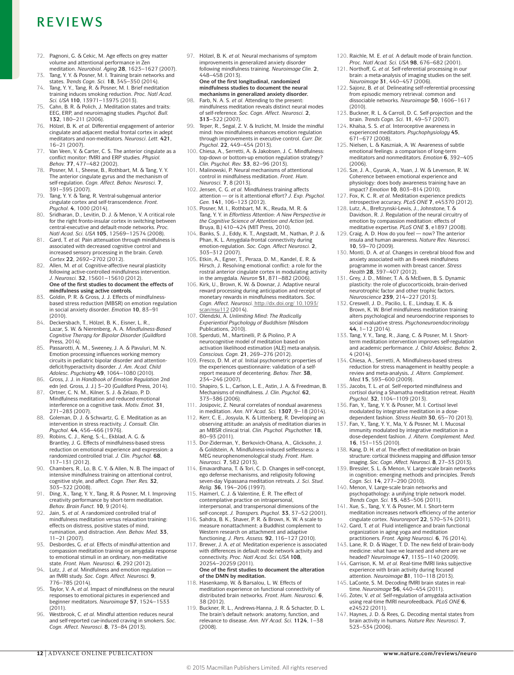# R F V I F W S

- 72. Pagnoni, G. & Cekic, M. Age effects on grey matter volume and attentional performance in Zen meditation. *Neurobiol. Aging* **28**, 1623–1627 (2007).
- 73. Tang, Y. Y. & Posner, M. I. Training brain networks and states. *Trends Cogn. Sci.* **18**, 345–350 (2014).
- 74. Tang, Y. Y., Tang, R. & Posner, M. I. Brief meditation training induces smoking reduction. *Proc. Natl Acad. Sci. USA* **110**, 13971–13975 (2013).
- 75. Cahn, B. R. & Polich, J. Meditation states and traits: EEG, ERP, and neuroimaging studies. *Psychol. Bull.*  **132**, 180–211 (2006).
- 76. Hölzel, B. K. *et al.* Differential engagement of anterior cingulate and adjacent medial frontal cortex in adept meditators and non-meditators. *Neurosci*. *Lett.* **421**, 16–21 (2007).
- 77. Van Veen, V. & Carter, C. S. The anterior cingulate as a conflict monitor: fMRI and ERP studies. *Physiol. Behav.* **77**, 477–482 (2002).
- 78. Posner, M. I., Sheese, B., Rothbart, M. & Tang, Y. Y. The anterior cingulate gyrus and the mechanism of self-regulation. *Cogn. Affect. Behav. Neurosci.* **7**, 391–395 (2007).
- 79. Tang, Y. Y. & Tang, R. Ventral-subgenual anterior cingulate cortex and self-transcendence. *Front. Psychol.* **4**, 1000 (2014).
- 80. Sridharan, D., Levitin, D. J. & Menon, V. A critical role for the right fronto-insular cortex in switching between central-executive and default-mode networks. *Proc. Natl Acad. Sci. USA* **105**, 12569–12574 (2008).
- 81. Gard, T. *et al.* Pain attenuation through mindfulness is associated with decreased cognitive control and increased sensory processing in the brain. *Cereb. Cortex* **22**, 2692–2702 (2012).
- 82. Allen, M. *et al.* Cognitive-affective neural plasticity following active-controlled mindfulness intervention. *J. Neurosci.* **32**, 15601–15610 (2012). **One of the first studies to document the effects of mindfulness using active controls.**
- 83. Goldin, P. R. & Gross, J. J. Effects of mindfulnessbased stress reduction (MBSR) on emotion regulation in social anxiety disorder. *Emotion* **10**, 83–91 (2010).
- 84. Deckersbach, T., Hölzel, B. K., Eisner, L. R., Lazar, S. W. & Nierenberg, A. A. *Mindfulness-Based Cognitive Therapy for Bipolar Disorder* (Guildford Press, 2014).
- 85. Passarotti, A. M., Sweeney, J. A. & Pavuluri, M. N. Emotion processing influences working memory circuits in pediatric bipolar disorder and attentiondeficit/hyperactivity disorder. *J. Am. Acad. Child Adolesc. Psychiatry* **49**, 1064–1080 (2010).
- 86. Gross, J. J. in *Handbook of Emotion Regulation* 2nd edn (ed. Gross, J. J.) 3–20 (Guildford Press, 2014). 87. Ortner, C. N. M., Kilner, S. J. & Zelazo, P. D.
- Mindfulness meditation and reduced emotional interference on a cognitive task. *Motiv. Emot.* **31**, 271–283 (2007).
- 88. Goleman, D. J. & Schwartz, G. E. Meditation as an intervention in stress reactivity. *J. Consult. Clin. Psychol.* **44**, 456–466 (1976). 89. Robins, C. J., Keng, S.-L., Ekblad, A. G. &
- Brantley, J. G. Effects of mindfulness-based stress reduction on emotional experience and expression: a randomized controlled trial. *J. Clin. Psychol.* **68**, 117–131 (2012).
- 90. Chambers, R., Lo, B. C. Y. & Allen, N. B. The impact of intensive mindfulness training on attentional control, cognitive style, and affect. *Cogn. Ther. Res.* **32**, 303–322 (2008).
- 91. Ding, X., Tang, Y. Y., Tang, R. & Posner, M. I. Improving creativity performance by short-term meditation. *Behav. Brain Funct.* **10**, 9 (2014).
- 92. Jain, S. *et al.* A randomized controlled trial of mindfulness meditation versus relaxation training: effects on distress, positive states of mind, rumination, and distraction. *Ann. Behav. Med.* **33**, 11–21 (2007).
- 93. Desbordes, G. *et al.* Effects of mindful-attention and compassion meditation training on amygdala response to emotional stimuli in an ordinary, non-meditative state. *Front. Hum. Neurosci.* **6**, 292 (2012).
- 94. Lutz, J. *et al.* Mindfulness and emotion regulation an fMRI study. *Soc. Cogn. Affect. Neurosci.* **9**, 776–785 (2014).
- 95. Taylor, V. A. *et al.* Impact of mindfulness on the neural responses to emotional pictures in experienced and beginner meditators. *Neuroimage* **57**, 1524–1533 (2011).
- 96. Westbrook, C. *et al.* Mindful attention reduces neural and self-reported cue-induced craving in smokers. *Soc. Cogn. Affect. Neurosci.* **8**, 73–84 (2013).

97. Hölzel, B. K. *et al.* Neural mechanisms of symptom improvements in generalized anxiety disorder following mindfulness training. *Neuroimage Clin.* **2**, 448–458 (2013). **One of the first longitudinal, randomized** 

**mindfulness studies to document the neural mechanisms in generalized anxiety disorder.**

- 98. Farb, N. A. S. *et al.* Attending to the present: mindfulness meditation reveals distinct neural modes of self-reference. *Soc. Cogn. Affect. Neurosci.* **2**, **313**–322 (2007).
- 99. Teper, R., Segal, Z. V. & Inzlicht, M. Inside the mindful mind: how mindfulness enhances emotion regulation through improvements in executive control. *Curr. Dir. Psychol.* **22**, 449–454 (2013).
- 100. Chiesa, A., Serretti, A. & Jakobsen, J. C. Mindfulness: top-down or bottom-up emotion regulation strategy? *Clin. Psychol. Rev.* **33**, 82–96 (2013).
- 101. Malinowski, P. Neural mechanisms of attentional control in mindfulness meditation. *Front. Hum. Neurosci.* **7**, 8 (2013).
- 102. Jensen, C. G. *et al.* Mindfulness training affects attention — or is it attentional effort? *J. Exp. Psychol. Gen.* **141**, 106–123 (2012).
- 103. Posner, M. I., Rothbart, M. K., Reuda, M. R. & Tang, Y. Y. in *Effortless Attention: A New Perspective in the Cognitive Science of Attention and Action* (ed. Bruya, B.) 410–424 (MIT Press, 2010).
- 104. Banks, S. J., Eddy, K. T., Angstadt, M., Nathan, P. J. & Phan, K. L. Amygdala-frontal connectivity during emotion-regulation. *Soc. Cogn. Affect Neurosci.* **2**, 303–312 (2007).
- 105. Etkin, A., Egner, T., Peraza, D. M., Kandel, E. R. & Hirsch, J. Resolving emotional conflict: a role for the rostral anterior cingulate cortex in modulating activity in the amygdala. *Neuron* **51**, 871–882 (2006).
- 106. Kirk, U., Brown, K. W. & Downar, J. Adaptive neural reward processing during anticipation and receipt of monetary rewards in mindfulness meditators. *Soc. Cogn. Affect. Neurosci.* http://dx.doi.org/ 10.1093/ scan/nsu112 (2014).
- 107. Olendzki, A. *Unlimiting Mind: The Radically Experiential Psychology of Buddhism* (Wisdom Publications, 2010).
- 108. Sperduti, M., Martinelli, P. & Piolino, P. A neurocognitive model of meditation based on activation likelihood estimation (ALE) meta-analysis. *Conscious. Cogn.* **21**, 269–276 (2012).
- 109. Fresco, D. M. *et al.* Initial psychometric properties of the experiences questionnaire: validation of a selfreport measure of decentering. *Behav. Ther.* **38**, 234–246 (2007).
- 110. Shapiro, S. L., Carlson, L. E., Astin, J. A. & Freedman, B. Mechanisms of mindfulness. *J. Clin. Psychol.* **62**, 373–386 (2006).
- Josipovic, Z. Neural correlates of nondual awareness in meditation. *Ann. NY Acad. Sci.* **1307**, 9–18 (2014).
- 112. Kerr, C. E., Josyula, K. & Littenberg, R. Developing an observing attitude: an analysis of meditation diaries in an MBSR clinical trial. *Clin. Psychol. Psychother.* **18**, 80–93 (2011).
- 113. Dor-Ziderman, Y., Berkovich-Ohana, A., Glicksohn, J. & Goldstein, A. Mindfulness-induced selflessness: a MEG neurophenomenological study. *Front. Hum. Neurosci.* **7**, 582 (2013).
- 114. Emavardhana, T. & Tori, C. D. Changes in self-concept, ego defense mechanisms, and religiosity following seven-day Vipassana meditation retreats. *J. Sci. Stud. Relig.* **36**, 194–206 (1997).
- 115. Haimerl, C. J. & Valentine, E. R. The effect of contemplative practice on intrapersonal, interpersonal, and transpersonal dimensions of the self-concept. *J. Transpers. Psychol.* **33**, 37–52 (2001).
- 116. Sahdra, B. K., Shaver, P. R. & Brown, K. W. A scale to measure nonattachment: a Buddhist complement to Western research on attachment and adaptive functioning. *J. Pers. Assess.* **92**, 116–127 (2010).
- 117. Brewer, J. A. *et al.* Meditation experience is associated with differences in default mode network activity and connectivity. *Proc. Natl Acad. Sci. USA* **108**, 20254–20259 (2011). **One of the first studies to document the alteration**
- **of the DMN by meditation.** 118. Hasenkamp, W. & Barsalou, L. W. Effects of meditation experience on functional connectivity of distributed brain networks. *Front. Hum. Neurosci.* **6**, 38 (2012).
- 119. Buckner, R. L., Andrews-Hanna, J. R. & Schacter, D. L. The brain's default network: anatomy, function, and relevance to disease. *Ann. NY Acad. Sci.* **1124**, 1–38 (2008).
- 120. Raichle, M. E. *et al.* A default mode of brain function.
- *Proc. Natl Acad. Sci. USA* **98**, 676–682 (2001). 121. Northoff, G. *et al.* Self-referential processing in our brain: a meta-analysis of imaging studies on the self. *Neuroimage* **31**, 440–457 (2006).
- 122. Sajonz, B. *et al.* Delineating self-referential processing from episodic memory retrieval: common and dissociable networks. *Neuroimage* **50**, 1606–1617 (2010).
- 123. Buckner, R. L. & Carroll, D. C. Self-projection and the brain. *Trends Cogn. Sci.* **11**, 49–57 (2007).
- 124. Khalsa, S. S. *et al.* Interoceptive awareness in experienced meditators. *Psychophysiology* **45**, 671–677 (2008).
- 125. Nielsen, L. & Kaszniak, A. W. Awareness of subtle emotional feelings: a comparison of long-term meditators and nonmeditators. *Emotion* **6**, 392–405 (2006).
- 126. Sze, J. A., Gyurak, A., Yuan, J. W. & Levenson, R. W. Coherence between emotional experience and physiology: does body awareness training have an impact? *Emotion* **10**, 803–814 (2010).
- 127. Fox, K. C. R. *et al.* Meditation experience predicts introspective accuracy. *PLoS ONE* **7**, e45370 (2012).
- 128. Lutz, A., Brefczynski-Lewis, J., Johnstone, T. & Davidson, R. J. Regulation of the neural circuitry of emotion by compassion meditation: effects of meditative expertise. *PLoS ONE* **3**, e1897 (2008).
- 129. Craig, A. D. How do you feel now? The anterior insula and human awareness. *Nature Rev. Neurosci.*  **10**, 59–70 (2009).
- 130. Monti, D. A. *et al.* Changes in cerebral blood flow and anxiety associated with an 8-week mindfulness programme in women with breast cancer. *Stress Health* **28**, 397–407 (2012).
- 131. Grey, J. D., Milner, T. A. & McEwen, B. S. Dynamic plasticity: the role of glucocorticoids, brain-derived neurotrophic factor and other trophic factors.
- *Neuroscience* **239**, 214–227 (2013). 132. Creswell, J. D., Pacilio, L. E., Lindsay, E. K. & Brown, K. W. Brief mindfulness meditation training alters psychological and neuroendocrine responses to social evaluative stress. *Psychoneuroendocrinology* **44**, 1–12 (2014).
- 133. Tang, Y. Y., Tang, R., Jiang, C. & Posner, M. I. Shortterm meditation intervention improves self-regulation and academic performance. *J. Child Adolesc. Behav.* **2**, 4 (2014).
- 134. Chiesa, A., Serretti, A. Mindfulness-based stress reduction for stress management in healthy people: a review and meta-analysis**.** *J. Altern. Complement. Med.***15**, 593–600 (2009).
- 135. Jacobs, T. L. *et al.* Self-reported mindfulness and cortisol during a Shamatha meditation retreat. *Health Psychol.* **32**, 1104–1109 (2013).
- 136. Fan, Y., Tang, Y. Y. & Posner, M. I. Cortisol level modulated by integrative meditation in a dosedependent fashion. *Stress Health* **30**, 65–70 (2013).
- 137. Fan, Y., Tang, Y. Y., Ma, Y. & Posner, M. I. Mucosal immunity modulated by integrative meditation in a dose-dependent fashion. *J. Altern. Complement. Med.* **16**, 151–155 (2010).
- 138. Kang, D. H. *et al.* The effect of meditation on brain structure: cortical thickness mapping and diffusion tensor imaging. *Soc. Cogn. Affect. Neurosci.* **8**, 27–33 (2013).
- 139. Bressler, S. L. & Menon, V. Large-scale brain networks in cognition: emerging methods and principles. *Trends Cogn. Sci.* **14**, 277–290 (2010).
- 140. Menon, V. Large-scale brain networks and psychopathology: a unifying triple network model. *Trends Cogn. Sci.* **15**, 483–506 (2011).
- 141. Xue, S., Tang, Y. Y. & Posner, M. I. Short-term meditation increases network efficiency of the anterior cingulate cortex. *Neuroreport* **22**, 570–574 (2011).
- 142. Gard, T. *et al.* Fluid intelligence and brain functional organization in aging yoga and meditation practitioners. *Front. Aging Neurosci.* **6**, 76 (2014).
- 143. Lane, R. D. & Wager, T. D. The new field of brain-body medicine: what have we learned and where are we headed? *Neuroimage* **47**, 1135–1140 (2009).
- 144. Garrison, K. M. *et al.* Real-time fMRI links subjective experience with brain activity during focused attention. *Neuroimage* **81**, 110–118 (2013).
- 145. LaConte, S. M. Decoding fMRI brain states in realtime. *Neuroimage* **56**, 440–454 (2011).
- 146. Zotev, V. *et al.* Self-regulation of amygdala activation using real-time fMRI neurofeedback. *PLoS ONE* **6**, e24522 (2011).
- 147. Haynes, J. D. & Rees, G. Decoding mental states from brain activity in humans. *Nature Rev. Neurosci.* **7**, 523–534 (2006).